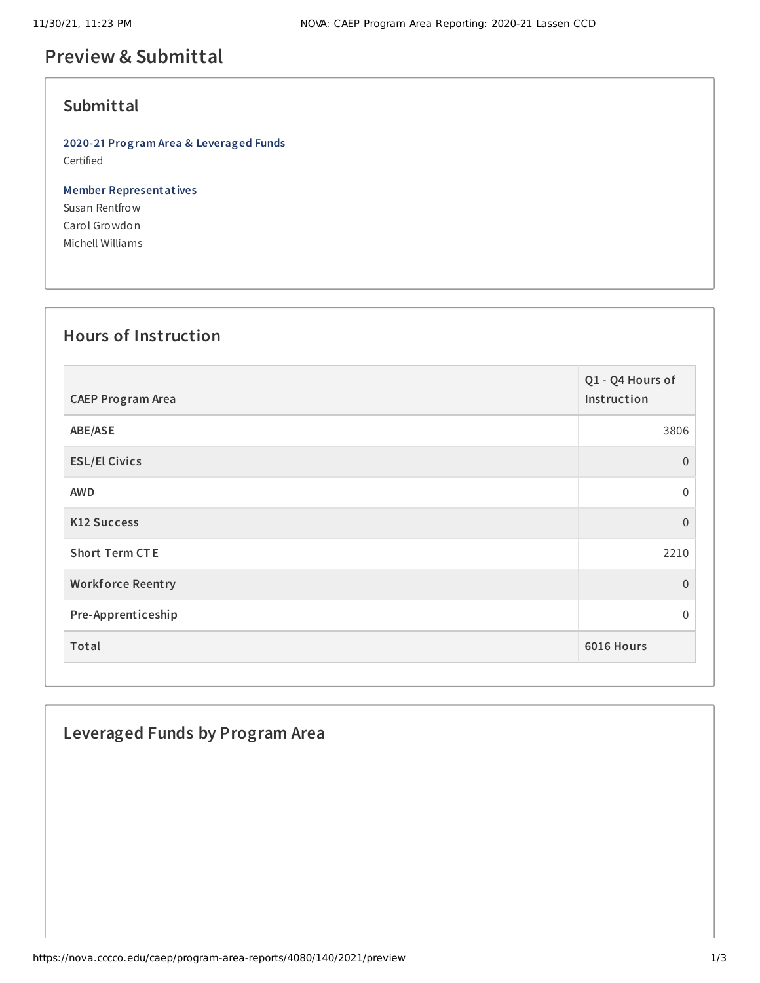## **Preview & Submittal**

## **Submittal**

**2020-21 Program Area & Leveraged Funds** Certified

**Member Representatives** Susan Rentfrow Carol Growdon Michell Williams

#### **Hours of Instruction**

| <b>CAEP Program Area</b> | Q1 - Q4 Hours of<br>Instruction |
|--------------------------|---------------------------------|
| ABE/ASE                  | 3806                            |
| <b>ESL/El Civics</b>     | $\overline{0}$                  |
| <b>AWD</b>               | $\overline{0}$                  |
| <b>K12 Success</b>       | $\overline{0}$                  |
| <b>Short Term CTE</b>    | 2210                            |
| <b>Workforce Reentry</b> | $\overline{0}$                  |
| Pre-Apprenticeship       | $\Omega$                        |
| Total                    | 6016 Hours                      |

## **Leveraged Funds by Program Area**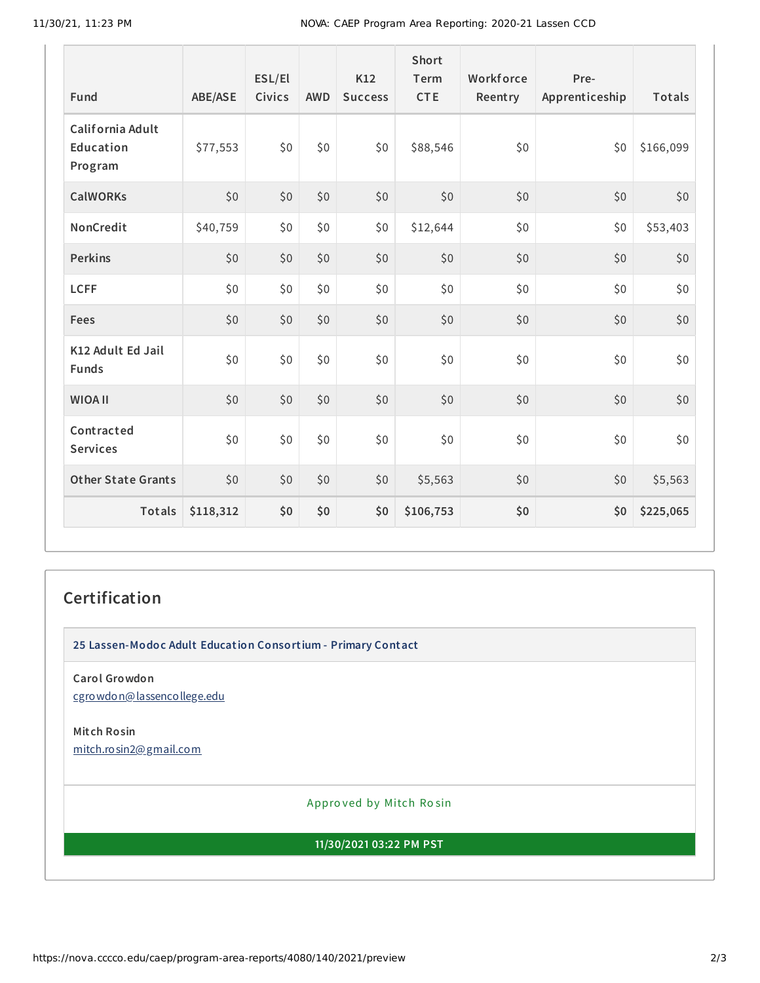| Fund                                     | ABE/ASE   | ESL/El<br>Civics | <b>AWD</b> | <b>K12</b><br><b>Success</b> | <b>Short</b><br>Term<br><b>CTE</b> | Workforce<br>Reentry | Pre-<br>Apprenticeship | Totals    |
|------------------------------------------|-----------|------------------|------------|------------------------------|------------------------------------|----------------------|------------------------|-----------|
| California Adult<br>Education<br>Program | \$77,553  | \$0              | \$0        | \$0                          | \$88,546                           | \$0                  | \$0                    | \$166,099 |
| <b>CalWORKs</b>                          | \$0       | \$0              | \$0        | \$0                          | \$0                                | \$0                  | \$0                    | \$0       |
| NonCredit                                | \$40,759  | \$0\$            | \$0        | \$0                          | \$12,644                           | \$0                  | \$0                    | \$53,403  |
| <b>Perkins</b>                           | \$0       | \$0              | \$0        | \$0                          | \$0                                | \$0                  | \$0                    | \$0       |
| <b>LCFF</b>                              | \$0       | \$0              | \$0        | \$0                          | \$0                                | \$0                  | \$0                    | \$0       |
| Fees                                     | \$0       | \$0              | \$0        | \$0                          | \$0                                | \$0                  | \$0                    | \$0       |
| K12 Adult Ed Jail<br><b>Funds</b>        | \$0       | \$0              | \$0\$      | \$0                          | \$0                                | \$0                  | \$0                    | \$0       |
| <b>WIOA II</b>                           | \$0       | \$0              | \$0        | \$0                          | \$0                                | \$0                  | \$0                    | \$0       |
| Contracted<br><b>Services</b>            | \$0       | \$0              | $$0$$      | \$0                          | \$0                                | \$0                  | \$0                    | \$0       |
| <b>Other State Grants</b>                | \$0       | \$0              | \$0        | \$0                          | \$5,563                            | \$0                  | \$0                    | \$5,563   |
| <b>Totals</b>                            | \$118,312 | \$0              | \$0        | \$0                          | \$106,753                          | \$0                  | \$0                    | \$225,065 |

# **Certification**

**25 Lassen-Modoc Adult Education Consortium - Primary Contact**

**Carol Growdon** [cgrowdon@lassencollege.edu](mailto:cgrowdon@lassencollege.edu)

**Mitch Rosin** [mitch.rosin2@gmail.com](mailto:mitch.rosin2@gmail.com)

Appro ved by Mitch Ro sin

**11/30/2021 03:22 PM PST**